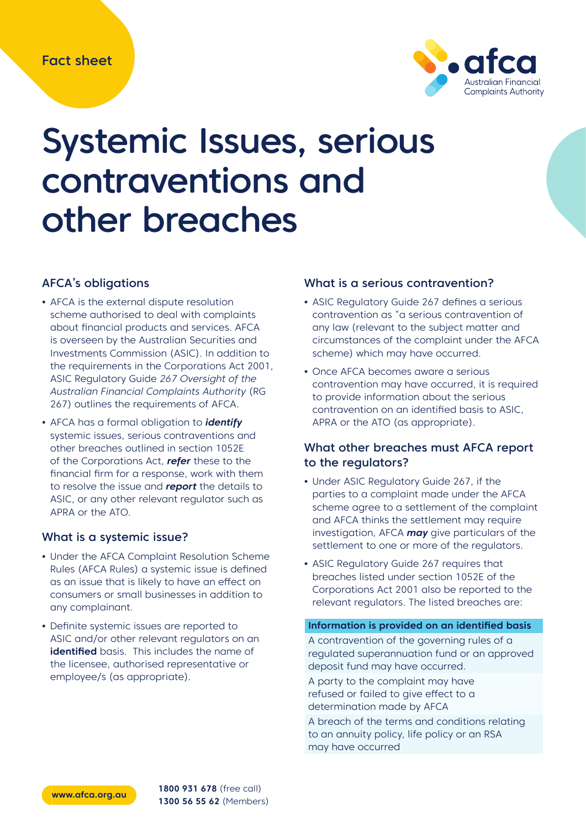

# Systemic Issues, serious contraventions and other breaches

# AFCA's obligations

- **•** AFCA is the external dispute resolution scheme authorised to deal with complaints about financial products and services. AFCA is overseen by the Australian Securities and Investments Commission (ASIC). In addition to the requirements in the Corporations Act 2001, ASIC Regulatory Guide 267 Oversight of the Australian Financial Complaints Authority (RG 267) outlines the requirements of AFCA.
- **•** AFCA has a formal obligation to **identify** systemic issues, serious contraventions and other breaches outlined in section 1052E of the Corporations Act, **refer** these to the financial firm for a response, work with them to resolve the issue and **report** the details to ASIC, or any other relevant regulator such as APRA or the ATO.

### What is a systemic issue?

- **•** Under the AFCA Complaint Resolution Scheme Rules (AFCA Rules) a systemic issue is defined as an issue that is likely to have an effect on consumers or small businesses in addition to any complainant.
- **•** Definite systemic issues are reported to ASIC and/or other relevant regulators on an **identified** basis. This includes the name of the licensee, authorised representative or employee/s (as appropriate).

## What is a serious contravention?

- **•** ASIC Regulatory Guide 267 defines a serious contravention as "a serious contravention of any law (relevant to the subject matter and circumstances of the complaint under the AFCA scheme) which may have occurred.
- **•** Once AFCA becomes aware a serious contravention may have occurred, it is required to provide information about the serious contravention on an identified basis to ASIC, APRA or the ATO (as appropriate).

## What other breaches must AFCA report to the regulators?

- **•** Under ASIC Regulatory Guide 267, if the parties to a complaint made under the AFCA scheme agree to a settlement of the complaint and AFCA thinks the settlement may require investigation, AFCA **may** give particulars of the settlement to one or more of the regulators.
- **•** ASIC Regulatory Guide 267 requires that breaches listed under section 1052E of the Corporations Act 2001 also be reported to the relevant regulators. The listed breaches are:

#### **Information is provided on an identified basis**

A contravention of the governing rules of a regulated superannuation fund or an approved deposit fund may have occurred.

A party to the complaint may have refused or failed to give effect to a determination made by AFCA

A breach of the terms and conditions relating to an annuity policy, life policy or an RSA may have occurred